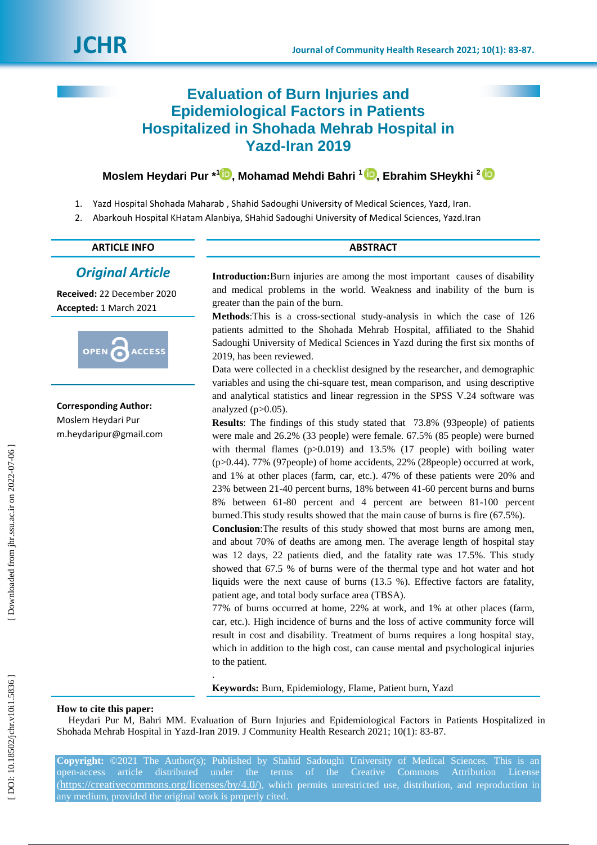# **Evaluation of Burn Injuries and Epidemiological Factors in Patients Hospitalized in Shohada Mehrab Hospital in Yazd -Iran 2019**

# **Moslem Heydari Pur \*<sup>[1](https://orcid.org/0000-0003-2448-4276)</sup>D[,](https://orcid.org/0000-0002-5335-9119) Mohamad Mehdi Bahri <sup>1</sup>D, Ebrahim SHeykhi <sup>2</sup>**

- 1. Yazd Hospital Shohada Maharab , Shahid Sadoughi University of Medical Sciences, Yazd, Iran.
- 2. Abarkouh Hospital KHatam Alanbiya, SHahid Sadoughi University of Medical Sciences, Yazd.Iran

# **ARTICLE INFO ABSTRACT**

# *Original Article*

**Received:** 22 December 2020 **Accepted:** 1 March 2021



**Corresponding Author:** Moslem Heydari Pur m.heydaripur@gmail.com

**Introduction :**Burn injuries are among the most important causes of disability and medical problems in the world. Weakness and inability of the burn is greater than the pain of the burn.

**Methods** :This is a cross -sectional study -analysis in which the case of 126 patients admitted to the Shohada Mehrab Hospital, affiliated to the Shahid Sadoughi University of Medical Sciences in Yazd during the first six months of 2019, has been reviewed.

Data were collected in a checklist designed by the researcher, and demographic variables and using the chi-square test, mean comparison, and using descriptive and analytical statistics and linear regression in the SPSS V.24 software was analyzed  $(p>0.05)$ .

**Results**: The findings of this study stated that 73.8% (93people) of patients were male and 26.2% (33 people) were female. 67.5% (85 people) were burned with thermal flames (p>0.019) and 13.5% (17 people) with boiling water (p>0 .44). 77% (97people) of home accidents, 22% (28people) occurred at work, and 1% at other places (farm, car, etc.). 47% of these patients were 20% and 23% between 21 -40 percent burns, 18% between 41 -60 percent burns and burns 8% between 61 -80 percent and 4 percent are between 81 -100 percent burned.This study results showed that the main cause of burns is fire (67 .5%).

**Conclusion** :The results of this study showed that most burns are among men, and about 70% of deaths are among men. The average length of hospital stay was 12 days, 22 patients died, and the fatality rate was 17.5%. This study showed that 67.5 % of burns were of the thermal type and hot water and hot liquids were the next cause of burns (13.5 %). Effective factors are fatality, patient age, and total body surface area (TBSA).

77% of burns occurred at home, 22% at work, and 1% at other places (farm, car, etc.). High incidence of burns and the loss of active community force will result in cost and disability. Treatment of burns requires a long hospital stay, which in addition to the high cost, can cause mental and psychological injuries to the patient.

**Keywords:** Burn, Epidemiology, Flame, Patient burn, Yazd

#### **How to cite this paper:**

Heydari Pur M, Bahri MM. Evaluation of Burn Injuries and Epidemiological Factors in Patients Hospitalized in Shohada Mehrab Hospital in Yazd -Iran 2019. J Community Health Research 2021; 10(1): 83 -87.

.

**Copyright:** ©202 1 The Author(s); Published by Shahid Sadoughi University of Medical Sciences. This is an open-access article distributed under the terms of the Creative Commons Attribution License  $(\text{https://creativecommons.org/licenses/by/4.0/">\rangle$ , which permits unrestricted use, distribution, and reproduction in any medium, provided the original work is properly cited.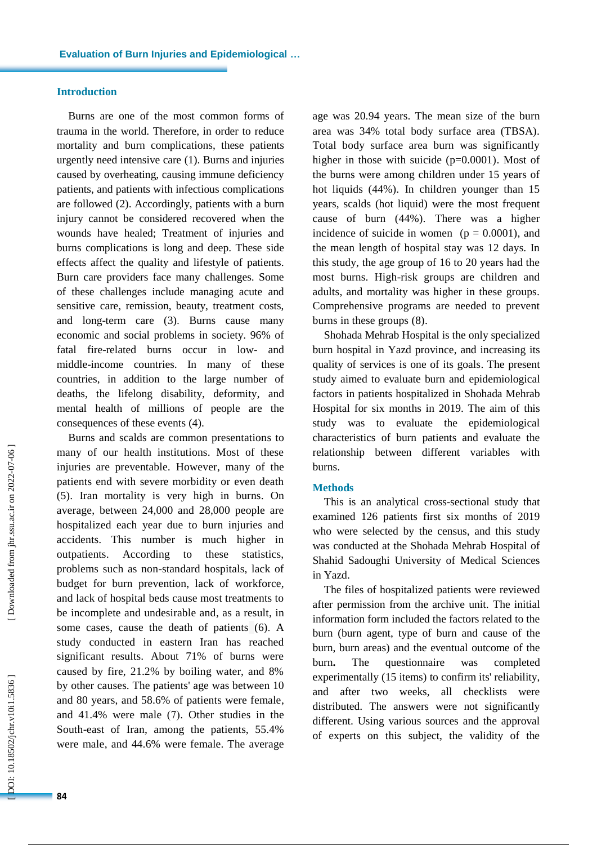## **Introduction**

Burns are one of the most common forms of trauma in the world. Therefore, in order to reduce mortality and burn complications, these patients urgently need intensive care (1) . Burns and injuries caused by overheating, causing immune deficiency patients , and patients with infectious complications are followed (2). Accordingly, patients with a burn injury cannot be considered recovered when the wounds have healed; Treatment of injuries and burns complications is long and deep. These side effects affect the quality and lifestyle of patients. Burn care providers face many challenges. Some of these challenges include managing acute and sensitive care, remission, beauty, treatment costs, and long -term care (3) . Burns cause many economic and social problems in society. 96% of fatal fire-related burns occur in low- and middle -income countries. In many of these countries, in addition to the large number of deaths, the lifelong disability, deformity , and mental health of millions of people are the consequences of these events (4).

Burns and scalds are common presentation s to many of our health institutions. Most of these injuries are preventable. However, many of the patients end with severe morbidity or even death (5). Iran mortality is very high in burn s. On average, between 24,000 and 28,000 people are hospitalized each year due to burn injuries and accidents. This number is much higher in outpatients. According to these statistics, problems such as non -standard hospitals, lack of budget for burn prevention, lack of workforce, and lack of hospital beds cause most treatments to be incomplete and undesirable and , as a result , in some cases , cause the death of patients (6) . A study conducted in eastern Iran has reached significant results. About 71% of burns were caused by fire, 21.2% by boiling water, and 8% by other causes. The patients' age was between 10 and 80 years , and 58.6% of patients were female , and 41.4% were male (7). Other studies in the South -east of Iran , among the patients, 55.4% were male , and 44.6% were female. The average

age was 20.94 years. The mean size of the burn area was 34% total body surface area (TBSA). Total body surface area burn was significantly higher in those with suicide  $(p=0.0001)$ . Most of the burns were among children under 15 years of hot liquids (44%). In children younger than 15 years, scalds (hot liquid) were the most frequent cause of burn (44%). There was a higher incidence of suicide in women  $(p = 0.0001)$ , and the mean length of hospital stay was 12 days. In this study, the age group of 16 to 20 years had the most burns. High -risk groups are children and adults, and mortality was higher in these groups. Comprehensive programs are needed to prevent burns in these groups (8) .

Shohada Mehrab Hospital is the only specialized burn hospital in Yazd province , and increasing its quality of services is one of its goals . The present study aimed to evaluat e burn and epidemiological factors in patients hospitalized in Shohada Mehrab Hospital for six months in 2019. The aim of this study was to evaluate the epidemiological characteristics of burn patients and evaluate the relationship between different variables with burns.

### **Methods**

This is a n analytical cross -sectional study that examined 126 patients first six months of 2019 who were selected by the census , and this study was conducted at the Shohada Mehrab Hospital of Shahid Sadoughi University of Medical Sciences in Yazd.

The files of hospitalized patients were reviewed after permission from the archive unit. The initial information form included the factors related to the burn (burn agent, type of burn and cause of the burn, burn areas) and the eventual outcome of the burn **.** The questionnaire was completed experimentally (15 items) to confirm its' reliability, and after two weeks, all checklists were distributed. The answers were not significantly different. Using various sources and the approval of experts on this subject, the validity of the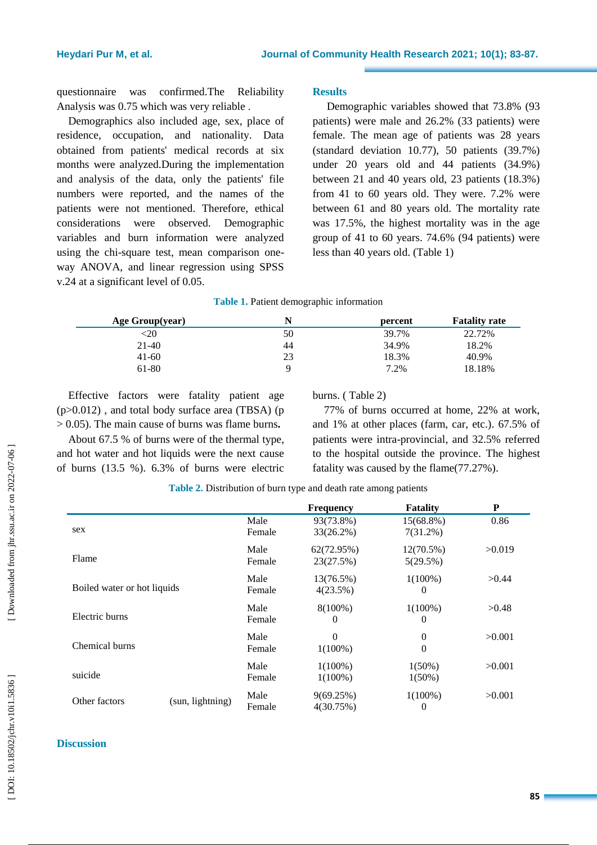questionnaire was confirmed.The Reliability Analysis was 0 .75 which was very reliable .

Demographics also included age, sex, place of residence, occupation, and nationality. Data obtained from patients' medical records at six months were analyzed.During the implementation and analysis of the data, only the patients' file numbers were reported, and the names of the patients were not mentioned. Therefore, ethical considerations were observed. Demographic variables and burn information were analyzed using the chi -square test, mean comparison one way ANOVA, and linear regression using SPSS v.24 at a significant level of 0.05.

# **Results**

Demographic variables showed that 73.8% (93 patients) were male and 26.2% (33 patients) were female. The mean age of patients was 28 years (standard deviation 10.77), 50 patients (39.7%) under 20 years old and 44 patients (34.9%) between 21 and 40 years old, 23 patients (18.3%) from 41 to 60 years old. They were. 7.2% were between 61 and 80 years old. The mortality rate was 17.5%, the highest mortality was in the age group of 41 to 60 years. 74.6% (94 patients) were less than 40 years old. (Table 1)

#### **Table 1 .** Patient demographic information

| Age Group(year) |    | percent | <b>Fatality rate</b> |
|-----------------|----|---------|----------------------|
| $\sim 20$       | 50 | 39.7%   | 22.72%               |
| 21-40           | 44 | 34.9%   | 18.2%                |
| $41-60$         | 23 | 18.3%   | 40.9%                |
| 61-80           | Q  | 7.2%    | 18.18%               |

Effective factors were fatality patient age (p>0 .012) , and total body surface area (TBSA) (p > 0 .05). The main cause of burns was flame burns **.**

About 67.5 % of burns were of the thermal type , and hot water and hot liquids were the next cause of burns (13.5 %). 6.3% of burns were electric burns. ( Table 2)

77% of burns occurred at home, 22% at work, and 1% at other places (farm, car, etc.). 67.5% of patients were intra -provincial , and 32.5% referred to the hospital outside the province . The highest fatality was caused by the flame(77.27%).

|                             |                  |                | <b>Frequency</b>       | <b>Fatality</b>       | P      |
|-----------------------------|------------------|----------------|------------------------|-----------------------|--------|
| sex                         |                  | Male<br>Female | 93(73.8%)<br>33(26.2%) | 15(68.8%)<br>7(31.2%) | 0.86   |
|                             |                  |                |                        |                       |        |
| Flame                       |                  | Male           | 62(72.95%)             | $12(70.5\%)$          | >0.019 |
|                             |                  | Female         | 23(27.5%)              | 5(29.5%)              |        |
| Boiled water or hot liquids |                  | Male           | 13(76.5%)              | $1(100\%)$            | >0.44  |
|                             |                  | Female         | 4(23.5%)               | 0                     |        |
| Electric burns              |                  | Male           | $8(100\%)$             | $1(100\%)$            | >0.48  |
|                             |                  | Female         | $\bf{0}$               | $\theta$              |        |
| Chemical burns              |                  | Male           | $\Omega$               | $\Omega$              | >0.001 |
|                             |                  | Female         | $1(100\%)$             | $\mathbf{0}$          |        |
| suicide                     |                  | Male           | $1(100\%)$             | $1(50\%)$             | >0.001 |
|                             |                  | Female         | $1(100\%)$             | $1(50\%)$             |        |
| Other factors               |                  | Male           | 9(69.25%)              | $1(100\%)$            | >0.001 |
|                             | (sun, lightning) | Female         | 4(30.75%)              | $\theta$              |        |

**Table 2.** Distribution of burn type and death rate among patients

#### **Discussion**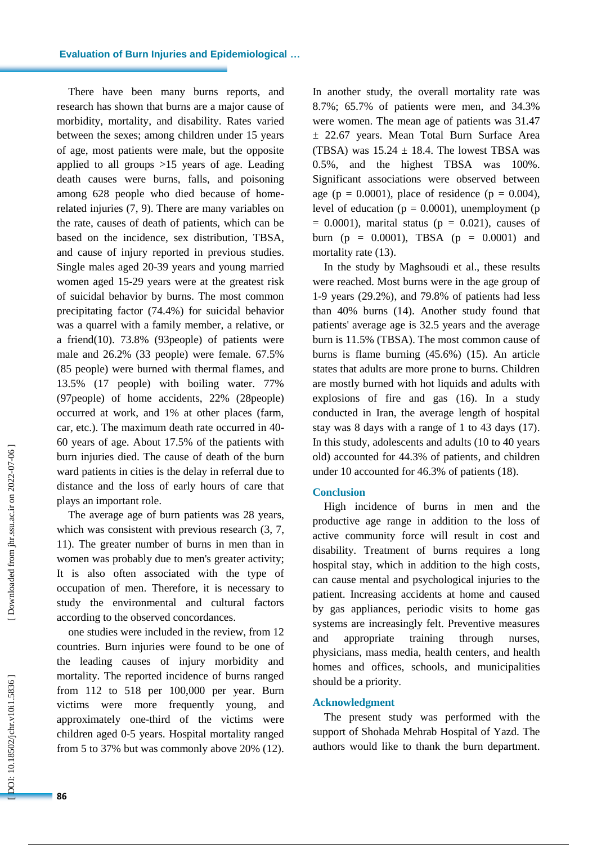There have been many burns reports, and research has shown that burns are a major cause of morbidity, mortality , and disability. Rates varied between the sexes; among children under 15 years of age, most patients were male, but the opposite applied to all groups >15 years of age. Leading death causes were burns, falls , and poisoning among 628 people who died because of home related injuries (7, 9). There are many variables on the rate, causes of death of patients, which can be based on the incidence, sex distribution, TBSA, and cause of injury reported in previous studies. Single males aged 20 -39 years and young married women aged 15 -29 years were at the greatest risk of suicidal behavior by burns. The most common precipitating factor (74.4%) for suicidal behavior was a quarrel with a family member, a relative, or a friend(10). 73.8% (93people) of patients were male and 26.2% (33 people) were female. 67.5% (85 people) were burned with thermal flames , and 13.5% (17 people) with boiling water. 77% (97people) of home accidents, 22% (28people) occurred at work, and 1% at other places (farm, car, etc.). The maximum death rate occurred in 40 - 60 years of age. About 17.5% of the patients with burn injuries died. The cause of death of the burn ward patients in cities is the delay in referral due to distance and the loss of early hours of care that plays an important role.

The average age of burn patients was 28 years, which was consistent with previous research  $(3, 7, 7)$ 11). The greater number of burns in men than in women was probably due to men's greater activity; It is also often associated with the type of occupation of men. Therefore, it is necessary to study the environmental and cultural factors according to the observed concordances.

one studies were included in the review, from 12 countries. Burn injuries were found to be one of the leading causes of injury morbidity and mortality. The reported incidence of burns ranged from 112 to 518 per 100,000 per year. Burn victims were more frequently young , and approximately one -third of the victims were children aged 0 -5 years. Hospital mortality ranged from 5 to 37% but was commonly above 20% (12).

In another study , the overall mortality rate was 8.7%; 65.7% of patients were men , and 34.3% were women. The mean age of patients was 31.47 ± 22.67 years. Mean Total Burn Surface Area (TBSA) was  $15.24 \pm 18.4$ . The lowest TBSA was 0.5% , and the highest TBSA was 100%. Significant associations were observed between age ( $p = 0.0001$ ), place of residence ( $p = 0.004$ ), level of education ( $p = 0.0001$ ), unemployment ( $p = 0.0001$ )  $= 0.0001$ ), marital status ( $p = 0.021$ ), causes of burn ( $p = 0.0001$ ), TBSA ( $p = 0.0001$ ) and mortality rate (13).

In the study by Maghsoudi et al., these results were reached. Most burns were in the age group of 1-9 years (29.2%), and 79.8% of patients had less than 40% burns (14). Another study found that patients' average age is 32.5 years and the average burn is 11.5% (TBSA). The most common cause of burns is flame burning (45.6%) (15). An article states that adults are more prone to burns. Children are mostly burned with hot liquids and adults with explosions of fire and gas (16). In a study conducted in Iran, the average length of hospital stay was 8 days with a range of 1 to 43 days (17) . In this study, adolescents and adults (10 to 40 years old) accounted for 44.3% of patients , and children under 10 accounted for 46.3% of patients (18).

#### **Conclusion**

High incidence of burns in men and the productive age range in addition to the loss of active community force will result in cost and disability. Treatment of burns requires a long hospital stay, which in addition to the high costs , can cause mental and psychological injuries to the patient. Increasing accidents at home and caused by gas appliances, periodic visits to home gas systems are increasingly felt. Preventive measures and appropriate training through nurses, physicians, mass media, health centers , and health homes and offices, schools , and municipalities should be a priority .

#### **Acknowledgment**

The present study was performed with the support of S hohada Mehrab Hospital of Yazd. The authors would like to thank the burn department .